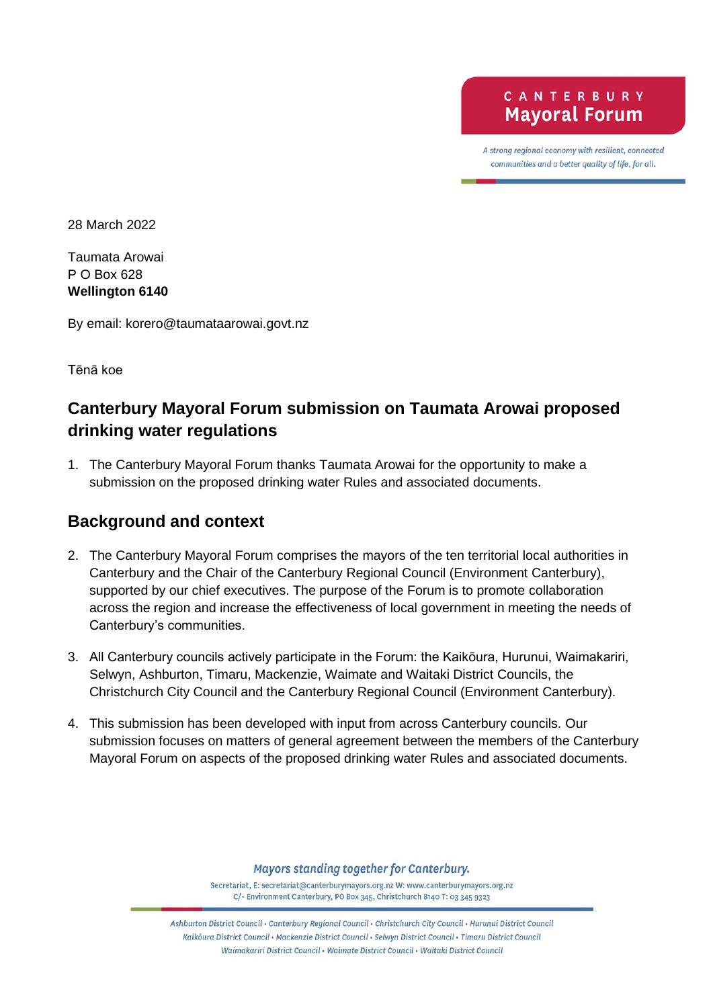CANTERBURY **Mayoral Forum** 

A strong regional economy with resilient, connected communities and a better quality of life, for all.

28 March 2022

Taumata Arowai P O Box 628 **Wellington 6140**

By email: korero@taumataarowai.govt.nz

Tēnā koe

## **Canterbury Mayoral Forum submission on Taumata Arowai proposed drinking water regulations**

1. The Canterbury Mayoral Forum thanks Taumata Arowai for the opportunity to make a submission on the proposed drinking water Rules and associated documents.

## **Background and context**

- 2. The Canterbury Mayoral Forum comprises the mayors of the ten territorial local authorities in Canterbury and the Chair of the Canterbury Regional Council (Environment Canterbury), supported by our chief executives. The purpose of the Forum is to promote collaboration across the region and increase the effectiveness of local government in meeting the needs of Canterbury's communities.
- 3. All Canterbury councils actively participate in the Forum: the Kaikōura, Hurunui, Waimakariri, Selwyn, Ashburton, Timaru, Mackenzie, Waimate and Waitaki District Councils, the Christchurch City Council and the Canterbury Regional Council (Environment Canterbury).
- 4. This submission has been developed with input from across Canterbury councils. Our submission focuses on matters of general agreement between the members of the Canterbury Mayoral Forum on aspects of the proposed drinking water Rules and associated documents.

Mayors standing together for Canterbury.

Secretariat, E: secretariat@canterburymayors.org.nz W: www.canterburymayors.org.nz C/- Environment Canterbury, PO Box 345, Christchurch 8140 T: 03 345 9323

Ashburton District Council · Canterbury Regional Council · Christchurch City Council · Hurunui District Council Kaikoura District Council · Mackenzie District Council · Selwyn District Council · Timaru District Council Waimakariri District Council · Waimate District Council · Waitaki District Council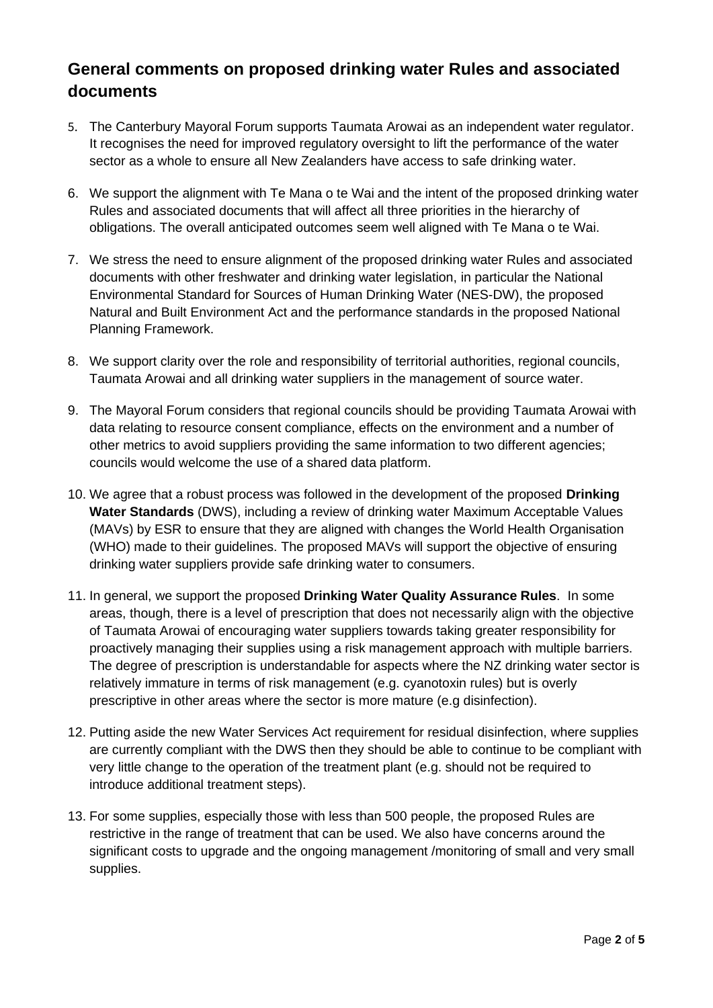## **General comments on proposed drinking water Rules and associated documents**

- 5. The Canterbury Mayoral Forum supports Taumata Arowai as an independent water regulator. It recognises the need for improved regulatory oversight to lift the performance of the water sector as a whole to ensure all New Zealanders have access to safe drinking water.
- 6. We support the alignment with Te Mana o te Wai and the intent of the proposed drinking water Rules and associated documents that will affect all three priorities in the hierarchy of obligations. The overall anticipated outcomes seem well aligned with Te Mana o te Wai.
- 7. We stress the need to ensure alignment of the proposed drinking water Rules and associated documents with other freshwater and drinking water legislation, in particular the National Environmental Standard for Sources of Human Drinking Water (NES-DW), the proposed Natural and Built Environment Act and the performance standards in the proposed National Planning Framework.
- 8. We support clarity over the role and responsibility of territorial authorities, regional councils, Taumata Arowai and all drinking water suppliers in the management of source water.
- 9. The Mayoral Forum considers that regional councils should be providing Taumata Arowai with data relating to resource consent compliance, effects on the environment and a number of other metrics to avoid suppliers providing the same information to two different agencies; councils would welcome the use of a shared data platform.
- 10. We agree that a robust process was followed in the development of the proposed **Drinking Water Standards** (DWS), including a review of drinking water Maximum Acceptable Values (MAVs) by ESR to ensure that they are aligned with changes the World Health Organisation (WHO) made to their guidelines. The proposed MAVs will support the objective of ensuring drinking water suppliers provide safe drinking water to consumers.
- 11. In general, we support the proposed **Drinking Water Quality Assurance Rules**. In some areas, though, there is a level of prescription that does not necessarily align with the objective of Taumata Arowai of encouraging water suppliers towards taking greater responsibility for proactively managing their supplies using a risk management approach with multiple barriers. The degree of prescription is understandable for aspects where the NZ drinking water sector is relatively immature in terms of risk management (e.g. cyanotoxin rules) but is overly prescriptive in other areas where the sector is more mature (e.g disinfection).
- 12. Putting aside the new Water Services Act requirement for residual disinfection, where supplies are currently compliant with the DWS then they should be able to continue to be compliant with very little change to the operation of the treatment plant (e.g. should not be required to introduce additional treatment steps).
- 13. For some supplies, especially those with less than 500 people, the proposed Rules are restrictive in the range of treatment that can be used. We also have concerns around the significant costs to upgrade and the ongoing management /monitoring of small and very small supplies.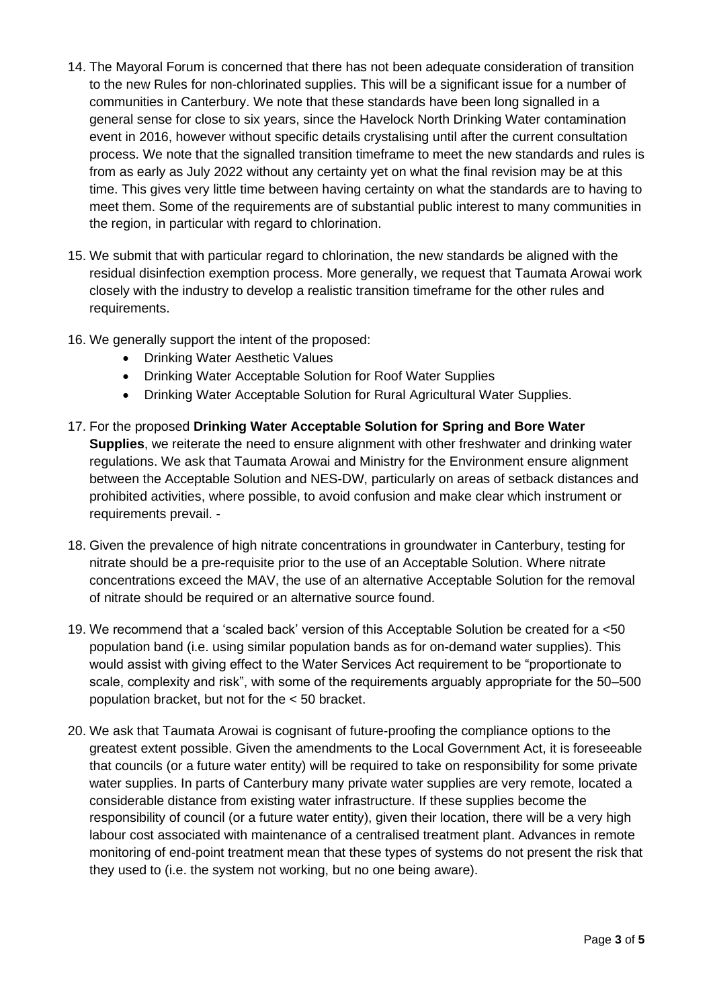- 14. The Mayoral Forum is concerned that there has not been adequate consideration of transition to the new Rules for non-chlorinated supplies. This will be a significant issue for a number of communities in Canterbury. We note that these standards have been long signalled in a general sense for close to six years, since the Havelock North Drinking Water contamination event in 2016, however without specific details crystalising until after the current consultation process. We note that the signalled transition timeframe to meet the new standards and rules is from as early as July 2022 without any certainty yet on what the final revision may be at this time. This gives very little time between having certainty on what the standards are to having to meet them. Some of the requirements are of substantial public interest to many communities in the region, in particular with regard to chlorination.
- 15. We submit that with particular regard to chlorination, the new standards be aligned with the residual disinfection exemption process. More generally, we request that Taumata Arowai work closely with the industry to develop a realistic transition timeframe for the other rules and requirements.
- 16. We generally support the intent of the proposed:
	- Drinking Water Aesthetic Values
	- Drinking Water Acceptable Solution for Roof Water Supplies
	- Drinking Water Acceptable Solution for Rural Agricultural Water Supplies.
- 17. For the proposed **Drinking Water Acceptable Solution for Spring and Bore Water Supplies**, we reiterate the need to ensure alignment with other freshwater and drinking water regulations. We ask that Taumata Arowai and Ministry for the Environment ensure alignment between the Acceptable Solution and NES-DW, particularly on areas of setback distances and prohibited activities, where possible, to avoid confusion and make clear which instrument or requirements prevail. -
- 18. Given the prevalence of high nitrate concentrations in groundwater in Canterbury, testing for nitrate should be a pre-requisite prior to the use of an Acceptable Solution. Where nitrate concentrations exceed the MAV, the use of an alternative Acceptable Solution for the removal of nitrate should be required or an alternative source found.
- 19. We recommend that a 'scaled back' version of this Acceptable Solution be created for a <50 population band (i.e. using similar population bands as for on-demand water supplies). This would assist with giving effect to the Water Services Act requirement to be "proportionate to scale, complexity and risk", with some of the requirements arguably appropriate for the 50–500 population bracket, but not for the < 50 bracket.
- 20. We ask that Taumata Arowai is cognisant of future-proofing the compliance options to the greatest extent possible. Given the amendments to the Local Government Act, it is foreseeable that councils (or a future water entity) will be required to take on responsibility for some private water supplies. In parts of Canterbury many private water supplies are very remote, located a considerable distance from existing water infrastructure. If these supplies become the responsibility of council (or a future water entity), given their location, there will be a very high labour cost associated with maintenance of a centralised treatment plant. Advances in remote monitoring of end-point treatment mean that these types of systems do not present the risk that they used to (i.e. the system not working, but no one being aware).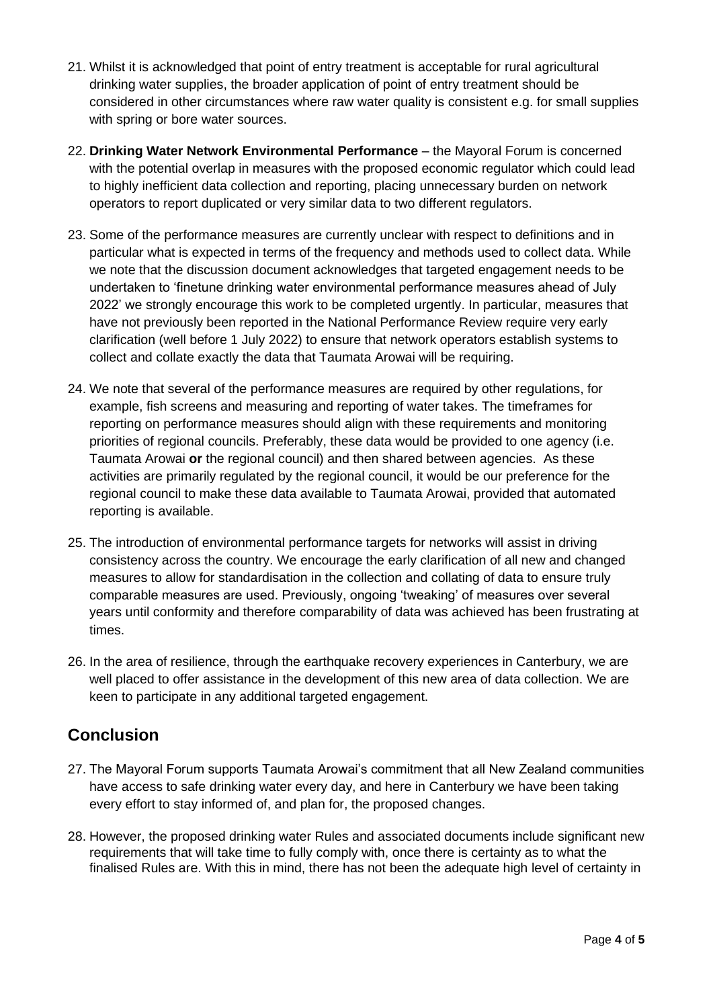- 21. Whilst it is acknowledged that point of entry treatment is acceptable for rural agricultural drinking water supplies, the broader application of point of entry treatment should be considered in other circumstances where raw water quality is consistent e.g. for small supplies with spring or bore water sources.
- 22. **Drinking Water Network Environmental Performance** the Mayoral Forum is concerned with the potential overlap in measures with the proposed economic regulator which could lead to highly inefficient data collection and reporting, placing unnecessary burden on network operators to report duplicated or very similar data to two different regulators.
- 23. Some of the performance measures are currently unclear with respect to definitions and in particular what is expected in terms of the frequency and methods used to collect data. While we note that the discussion document acknowledges that targeted engagement needs to be undertaken to 'finetune drinking water environmental performance measures ahead of July 2022' we strongly encourage this work to be completed urgently. In particular, measures that have not previously been reported in the National Performance Review require very early clarification (well before 1 July 2022) to ensure that network operators establish systems to collect and collate exactly the data that Taumata Arowai will be requiring.
- 24. We note that several of the performance measures are required by other regulations, for example, fish screens and measuring and reporting of water takes. The timeframes for reporting on performance measures should align with these requirements and monitoring priorities of regional councils. Preferably, these data would be provided to one agency (i.e. Taumata Arowai **or** the regional council) and then shared between agencies. As these activities are primarily regulated by the regional council, it would be our preference for the regional council to make these data available to Taumata Arowai, provided that automated reporting is available.
- 25. The introduction of environmental performance targets for networks will assist in driving consistency across the country. We encourage the early clarification of all new and changed measures to allow for standardisation in the collection and collating of data to ensure truly comparable measures are used. Previously, ongoing 'tweaking' of measures over several years until conformity and therefore comparability of data was achieved has been frustrating at times.
- 26. In the area of resilience, through the earthquake recovery experiences in Canterbury, we are well placed to offer assistance in the development of this new area of data collection. We are keen to participate in any additional targeted engagement.

## **Conclusion**

- 27. The Mayoral Forum supports Taumata Arowai's commitment that all New Zealand communities have access to safe drinking water every day, and here in Canterbury we have been taking every effort to stay informed of, and plan for, the proposed changes.
- 28. However, the proposed drinking water Rules and associated documents include significant new requirements that will take time to fully comply with, once there is certainty as to what the finalised Rules are. With this in mind, there has not been the adequate high level of certainty in